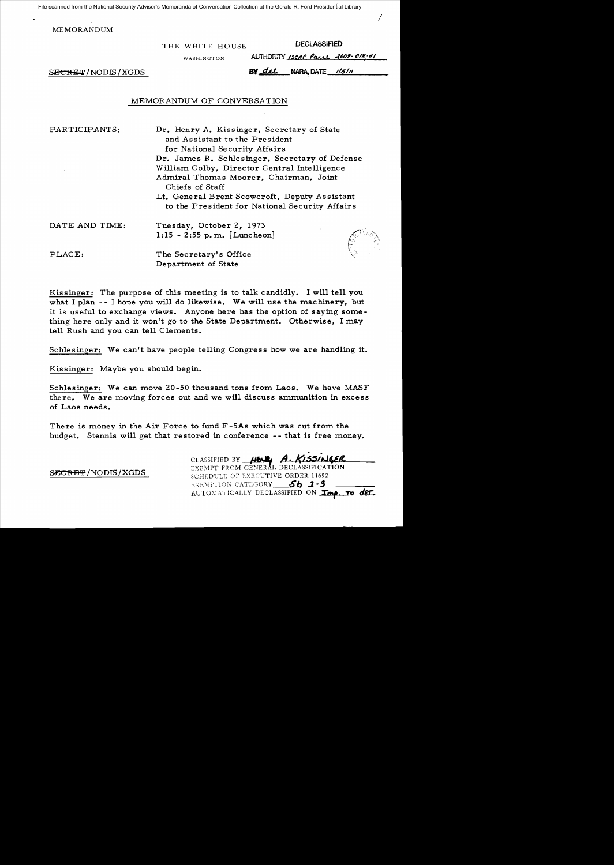File scanned from the National Security Adviser's Memoranda of Conversation Collection at the Gerald R. Ford Presidential Library

MEMORANDUM

THE WHITE HOUSE DECLASSIFIED

AUTHORITY ISCAP Paul 2009-018-01

WASHINGTON

 $S_{S_{S_{\text{max}}}}$  SECRET/NODIS/XGDS NARA, DATE  $\frac{1}{S_{\text{max}}}}$ 

## MEMORANDUM OF CONVERSA TION

PARTICIPANTS:

Dr. Henry A. Kissinger, Secretary of State and Assistant to the President for National Security Affairs Dr. James R. Schlesinger, Secretary of Defense William Colby, Director Central Intelligence Admiral Thomas Moorer, Chairman, Joint Chiefs of Staff Lt. General Brent Scowcroft, Deputy Assistant to the President for National Security Affairs

| DATE AND TIME:    | Tuesday, October 2, 1973<br>1:15 - 2:55 p.m. [Luncheon] |
|-------------------|---------------------------------------------------------|
| $\texttt{PLACE:}$ | The Secretary's Office                                  |



/

Kissinger: The purpose of this meeting is to talk candidly. I will tell you what I plan -- I hope you will do likewise. We will use the machinery, but it is useful to exchange views. Anyone here has the option of saying something here only and it won't go to the State Department. Otherwise, I may tell Rush and you can tell Clements.

Department of State

Schlesinger: We can't have people telling Congress how we are handling it.

Kissinger: Maybe you should begin.

Schlesinger: We can move 20-50 thousand tons from Laos. We have MASF there. We are moving forces out and we will discuss ammunition in excess of Laos needs.

There is money in the Air Force to fund F-5As which was cut from the budget. Stennis will get that restored in conference -- that is free money.

CLASSIFIED BY **AIFAL, A. KISSINGER**<br>EXEMPT FROM GENERAL DECLASSIFICATION

SCHEDULE OF EXECUTIVE ORDER 11652 EXEMPTION CATEGORY 6b<sup>1-3</sup> AUTOMATICALLY DECLASSIFIED ON *Imp. to det.* 

SECRET/NODIS/XGDS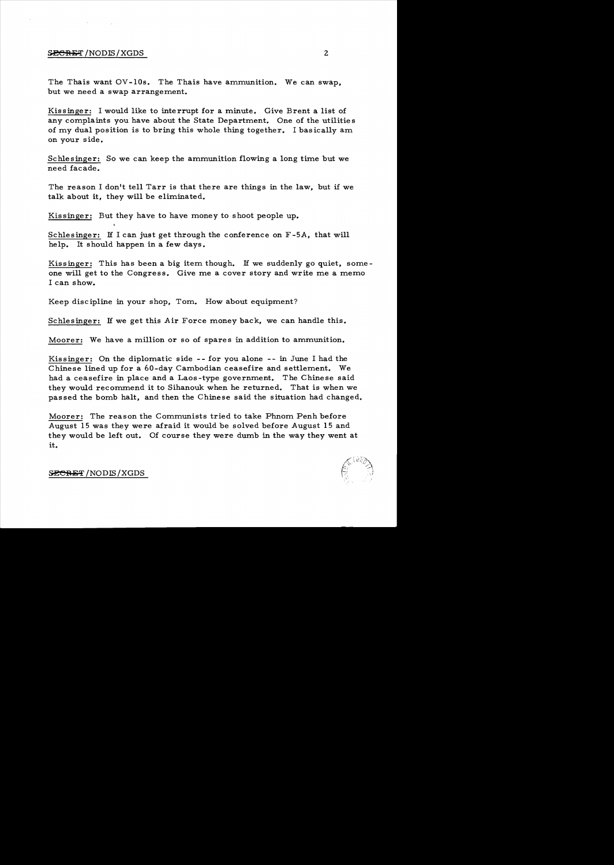### $S$ *B*CRFI/NODIS/XGDS 2

The Thais want OV -lOs. The Thais have ammunition. We can swap, but we need a swap arrangement.

Kissinger: I would like to interrupt for a minute. Give Brent a list of any complaints you have about the State Department. One of the utilities of my dual position is to bring this whole thing together. I basically am on your side.

Schlesinger: So we can keep the ammunition flowing a long time but we need facade.

The reason I don't tell Tarr is that there are things in the law, but if we talk about it, they will be eliminated.

Kissinger: But they have to have money to shoot people up.

Schlesinger: If I can just get through the conference on F-5A, that will help. It should happen in a few days.

Kissinger: This has been a big item though. If we suddenly go quiet, someone will get to the Congress. Give me a cover story and write me a memo I can show.

Keep discipline in your shop, Tom. How about equipment?

Schlesinger: If we get this Air Force money back, we can handle this.

Moorer: We have a million or so of spares in addition to ammunition.

Kis singer: On the diplomatic side - - for you alone -- in June I had the Chinese lined up for a 60-day Cambodian ceasefire and settlement. We had a ceasefire in place and a Laos -type government. The Chinese said they would recommend it to Sihanouk when he returned. That is when we pas sed the bomb halt, and then the Chinese said the situation had changed.

Moorer: The reason the Communists tried to take Phnom Penh before August 15 was they were afraid it would be solved before August 15 and they would be left out. Of course they were dumb in the way they went at it.

*l(\* llii(~~'.

**SECRET** / NODIS / XGDS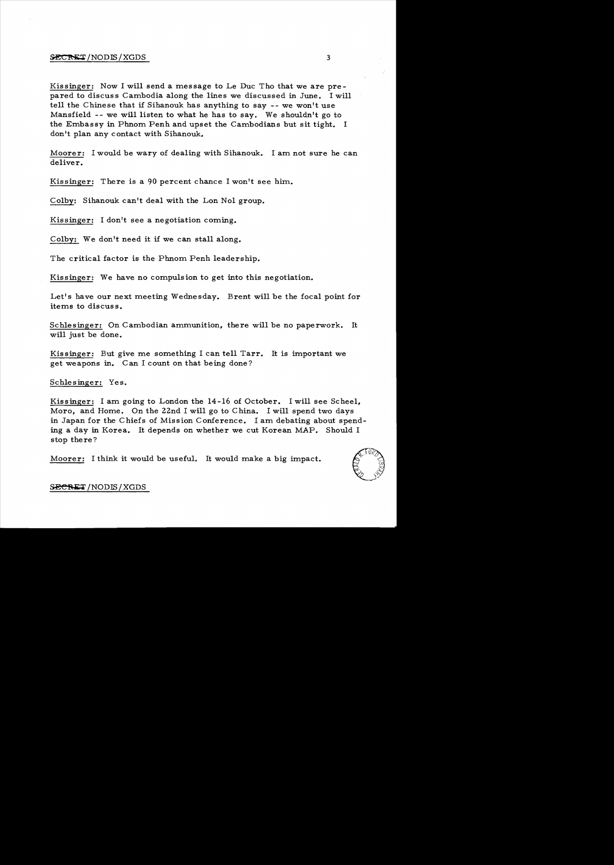### ${SECREF/NODIS/XGDS}$  3

Kissinger: Now I will send a message to Le Duc Tho that we are prepared to discuss Cambodia along the lines we discussed in June. I will tell the Chinese that if Sihanouk has anything to say -- we won't use Mansfield -- we will listen to what he has to say. We shouldn't go to the Embassy in Phnom Penh and upset the Cambodians but sit tight. I don't plan any contact with Sihanouk.

Moorer: I would be wary of dealing with Sihanouk. I am not sure he can deliver.

Kissinger: There is a 90 percent chance I won't see him..

Colby: Sihanouk can't deal with the Lon Nol group.

Kissinger: I don't see a negotiation coming.

Colby: We don't need it if we can stall along.

The critical factor is the Phnom Penh leadership.

Kissinger: We have no compulsion to get into this negotiation.

Let's have our next meeting Wednesday. Brent will be the focal point for items to discuss.

Schlesinger: On Cambodian ammunition, there will be no paperwork. It will just be done.

Kissinger: But give me something I can tell Tarr. It is important we get weapons in. C an I count on that being done?

Schlesinger: Yes.

Kissinger: I am going to London the 14-16 of October. I will see Scheel, Moro, and Home. On the 22nd I will go to China. I will spend two days in Japan for the Chiefs of Mission Conference. I am debating about spending a day in Korea. It depends on whether we cut Korean MAP. Should I stop there?

Moorer: I think it would be useful. It would make a big impact.

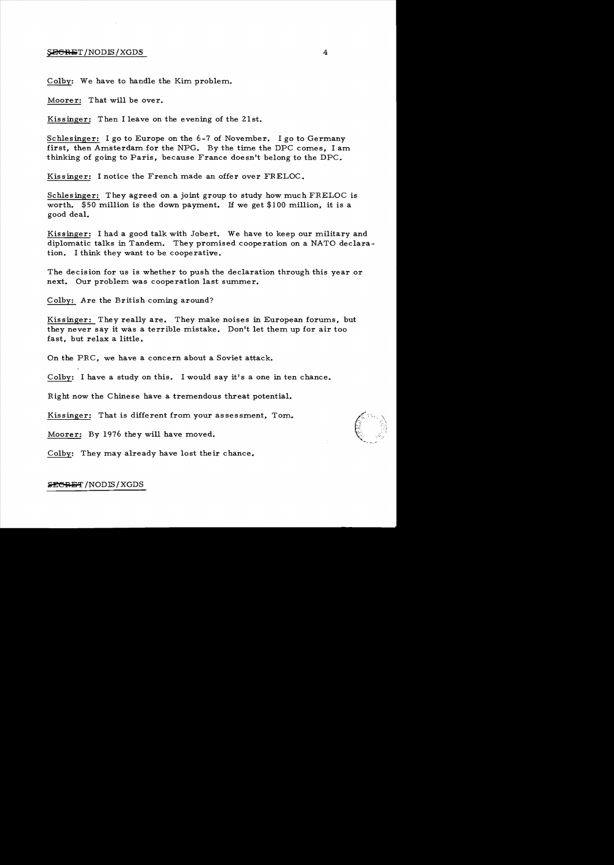#### SEGRET/NODIS/XGDS

Colby: We have to handle the Kim problem.

Moorer: That will be over.

Kissinger: Then I leave on the evening of the 21st.

Schlesinger: I go to Europe on the 6-7 of November. I go to Germany first, then Amsterdam for the NPG. By the time the DPC comes, I am thinking of going to Paris, because France doesn't belong to the DPC.

Kissinger: I notice the French made an offer over FRELOC.

Schlesinger: They agreed on a joint group to study how much FRELOC is worth. \$50 million is the down payment. If we get \$100 million, it is a good deal.

Kissinger: I had a good talk with Jobert. We have to keep our military and diplomatic talks in Tandem. They promised cooperation on a NATO declara tion. I think they want to be cooperative.

The decision for us is whether to push the declaration through this year or next. Our problem was cooperation last summer.

Colby: Are the British coming around?

Kissinger: They really are. They make noises in European forums, but they never say it was a terrible mistake. Don't let them up for air too fast, but relax a little.

On the PRC, we have a concern about a Soviet attack.

Colby: I have a study on this. I would say it's a one in ten chance.

Right now the Chinese have a tremendous threat potential.

Kissinger: That is different from your assessment, Tom.

Moorer: By 1976 they will have moved.

Colby: They may already have lost their chance.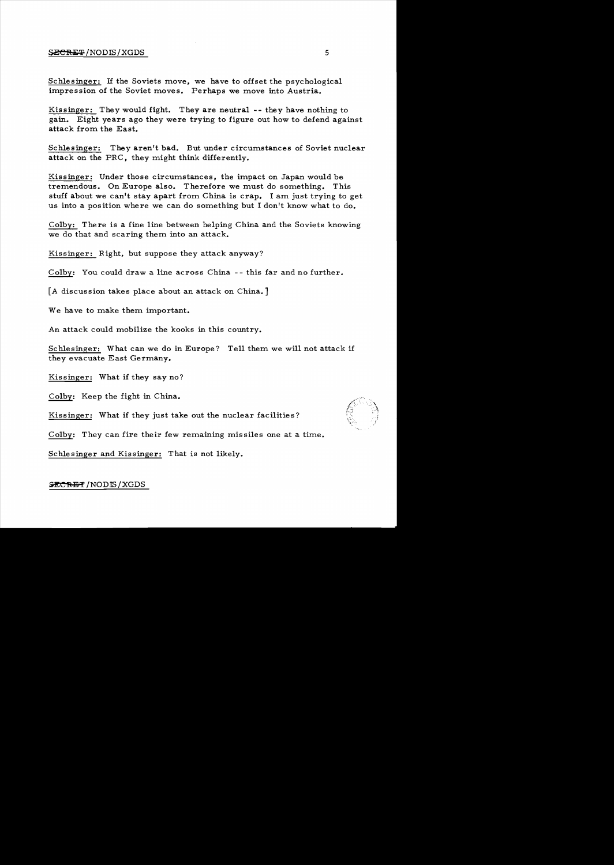### $\frac{SECR}{S}$  /NODIS / XGDS 5

Schlesinger: If the Soviets move, we have to offset the psychological impression of the Soviet moves. Perhaps we move into Austria.

Kissinger: They would fight. They are neutral -- they have nothing to gain. Eight years ago they were trying to figure out how to defend against attack from the East.

Schlesinger: They aren't bad. But under circumstances of Soviet nuclear attack on the PRC, they might think differently.

Kissinger: Under those circumstances, the impact on Japan would be tremendous. On Europe also. Therefore we must do something. This stuff about we can't stay apart from China is crap. I am just trying to get us into a position where we can do something but I don't know what to do.

Colby: There is a fine line between helping China and the Soviets knowing we do that and scaring them into an attack.

Kissinger: Right, but suppose they attack anyway?

Colby: You could draw a line across China - - this far and no further.

[A discussion takes place about an attack on China.]

We have to make them important.

An attack could mobilize the kooks in this country.

Schlesinger: What can we do in Europe? Tell them we will not attack if they evacuate East Germany.

Kissinger: What if they say no?

Colby: Keep the fight in China.

Kissinger: What if they just take out the nuclear facilities?

Colby: They can fire their few remaining missiles one at a time.

Schlesinger and Kissinger: That is not likely.

## SECRET / NODIS / XGDS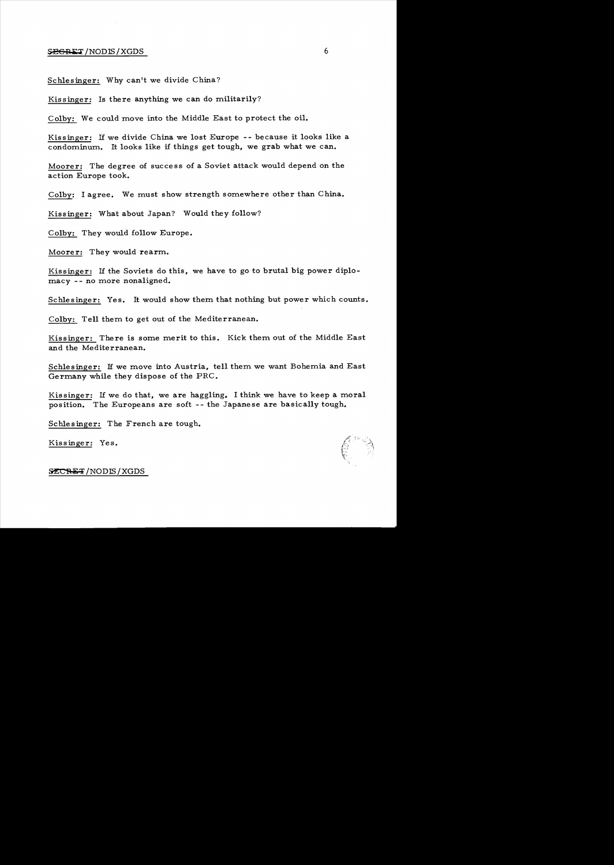## $\frac{SEGRET}{NODIS}/XGDS$  6

Schlesinger: Why can't we divide China?

Kis singer: Is there anything we can do militarily?

Colby: We could move into the Middle East to protect the oil.

Kissinger: If we divide China we lost Europe -- because it looks like a condominum. It looks like if things get tough, we grab what we can.

Moorer: The degree of success of a Soviet attack would depend on the action Europe took.

Colby: I agree. We must show strength somewhere other than China.

Kissinger: What about Japan? Would they follow?

Colby: They would follow Europe.

Moorer: They would rearm.

Kissinger: If the Soviets do this, we have to go to brutal big power diplomacy -- no more nonaligned.

Schlesinger: Yes. It would show them that nothing but power which counts.

Colby: Tell them to get out of the Mediterranean.

Kissinger: There is some merit to this. Kick them out of the Middle East and the Mediterranean.

Schlesinger: If we move into Austria, tell them we want Bohemia and East Germany while they dispose of the PRC.

Kissinger: If we do that, we are haggling. I think we have to keep a moral position. The Europeans are soft -- the Japanese are basically tough.

Schlesinger: The French are tough.

Kissinger: Yes.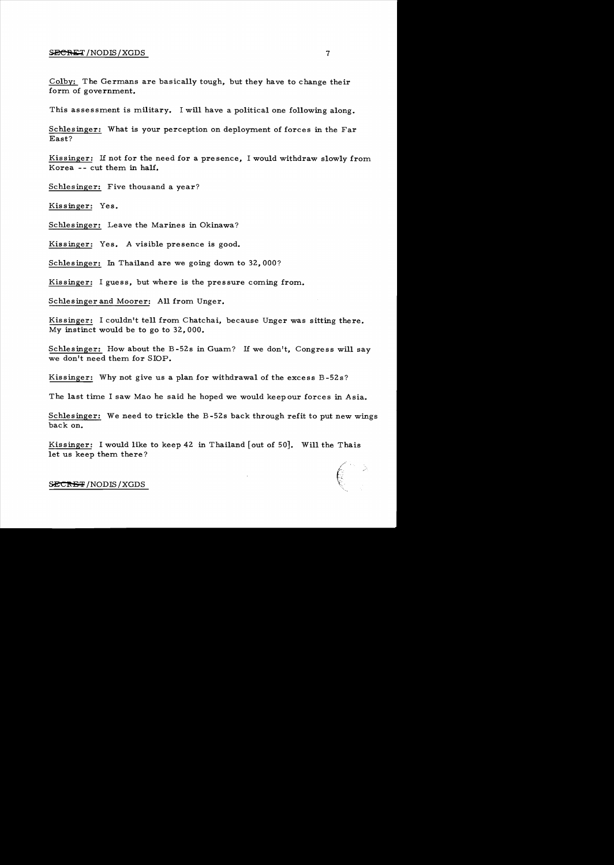### $S_{\text{ECRET}}$  /NODIS / XGDS 7

Colby: The Germans are basically tough, but they have to change their form of government.

This assessment is military. I will have a political one following along.

Schlesinger: What is your perception on deployment of forces in the Far East?

Kissinger: If not for the need for a presence, I would withdraw slowly from Korea -- cut them in half.

Schlesinger: Five thousand a year?

Kis singer: Yes.

Schlesinger: Leave the Marines in Okinawa?

Kissinger: Yes. A visible presence is good.

Schlesinger: In Thailand are we going down to 32, OOO?

Kissinger: I guess, but where is the pressure coming from.

Schlesinger and Moorer: All from Unger.

Kis singer: I couldn't tell from Chatchai, because Unger was sitting there. My instinct would be to go to 32,000.

Schlesinger: How about the B-52s in Guam? If we don't, Congress will say we don't need them for SlOP.

Kissinger: Why not give us a plan for withdrawal of the excess B-52s?

The last time I saw Mao he said he hoped we would keep our forces in Asia.

Schlesinger: We need to trickle the B -52s back through refit to put new wings back on.

Kissinger: I would like to keep 42 in Thailand [out of 50]. Will the Thais let us keep them there?

(.'  $\epsilon$  .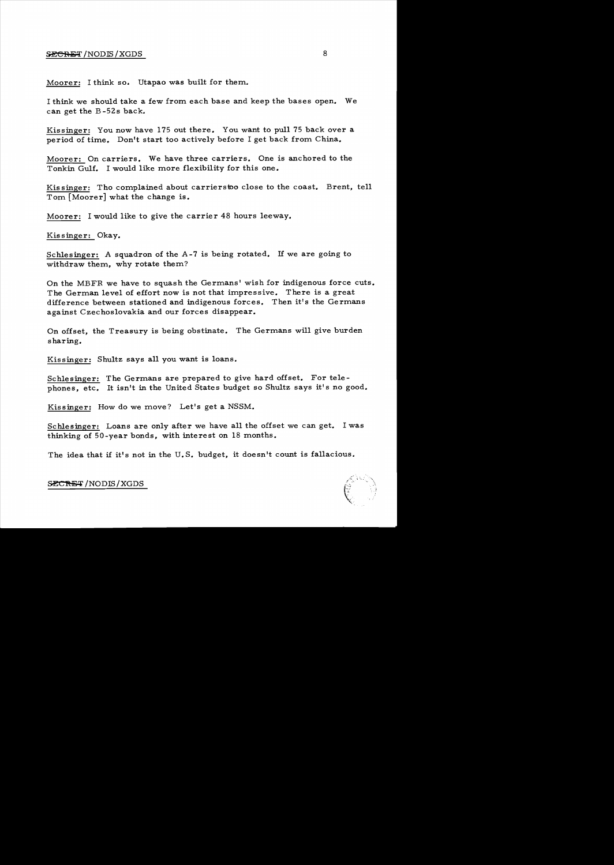## SECRET /NODIS / XGDS 8

Moorer: I think so. Utapao was built for them.

I think we should take a few from each base and keep the bases open. We can get the B -52s back.

Kissinger: You now have 175 out there. You want to pull 75 back over a period of time. Don't start too actively before I get back from China.

Moorer: On carriers. We have three carriers. One is anchored to the Tonkin Gulf. I would like more flexibility for this one.

Kis singer: Tho complained about carrierstoo close to the coast. Brent, tell Tom [Moorer] what the change is.

Moorer: I would like to give the carrier 48 hours leeway.

Kissinger: Okay.

Schlesinger: A squadron of the A-7 is being rotated. If we are going to withdraw them, why rotate them?

On the MBFR we have to squash the Germans' wish for indigenous force cuts. The German level of effort now is not that impressive. There is a great difference between stationed and indigenous forces. Then it's the Germans against Czechoslovakia and our forces disappear.

On offset, the Treasury is being obstinate. The Germans will give burden sharing.

Kissinger: Shultz says all you want is loans.

Schlesinger: The Germans are prepared to give hard offset. For telephones, etc. It isn't in the United States budget so Shultz says it's no good.

Kissinger: How do we move? Let's get a NSSM.

Schlesinger: Loans are only after we have all the offset we can get. I was thinking of 50-year bonds, with interest on 18 months.

The idea that if it's not in the U.S. budget, it doesn't count is fallacious.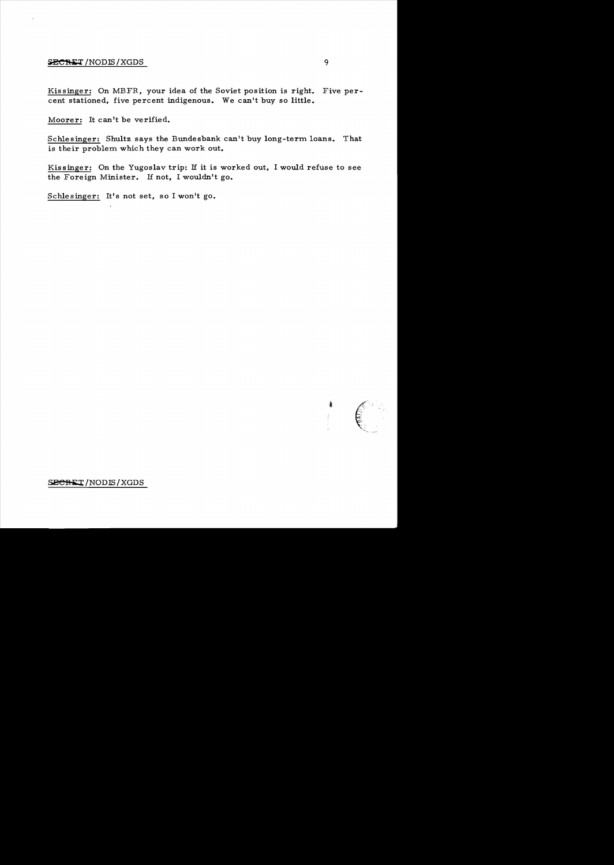## $SECRET/NODIS/XGDS$  9

Kis singer: On MBFR, your idea of the Soviet position is right. Five percent stationed, five percent indigenous. We can't buy so little.

Moorer: It can't be verified.

Schlesinger: Shultz says the Bundesbank can't buy long-term loans. That is their problem which they can work out.

Kissinger: On the Yugoslav trip: If it is worked out, I would refuse to see the Foreign Minister. If not, I wouldn't go.

Schlesinger: It's not set, so I won't go.

囔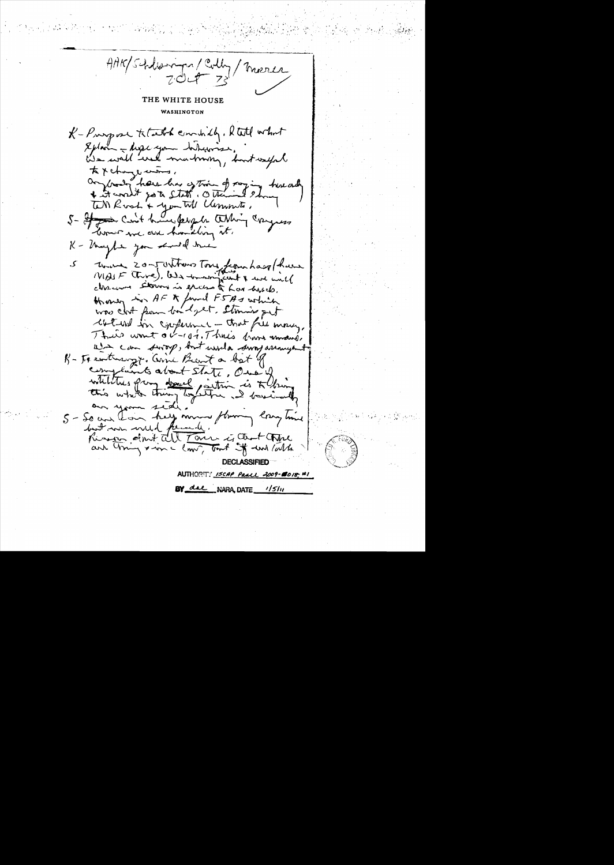AAK/Schlangen/Colly/Merces  $70 - 72$ THE WHITE HOUSE WASHINGTON K-Purpose tetath condity. Rtill what Splain - high your hibigins. We will web martning, but welfal to x change curing, anybody have has extrained paying here and + it world go to state. Other TM Rost + youth Clements, 5- If you can't have people athing congress love we are handling it. K - thought you should true There 20-JUNTONS Tone from hast have ک chance storms is excess to have hirds. However in AF & found F5As which was clot from bordget. Stanis get wat ind for conference - that fill many, Their want or-107. Three from mand, wir can sworp, but used a sway arrangent. R- Facenturing t. Come Beaut a bat of complaints about state, One of whilities prom devel inition is to thing an your 1 di. 5 - So and Long help moved flowing long hime but was well fremely. Risinger don't all Tour is that tople and Uning & in a low, but if will late **DECLASSIFIED** AUTHORITY ISCAP PAALL 2009-@018. BY dae NARA, DATE 1/5/11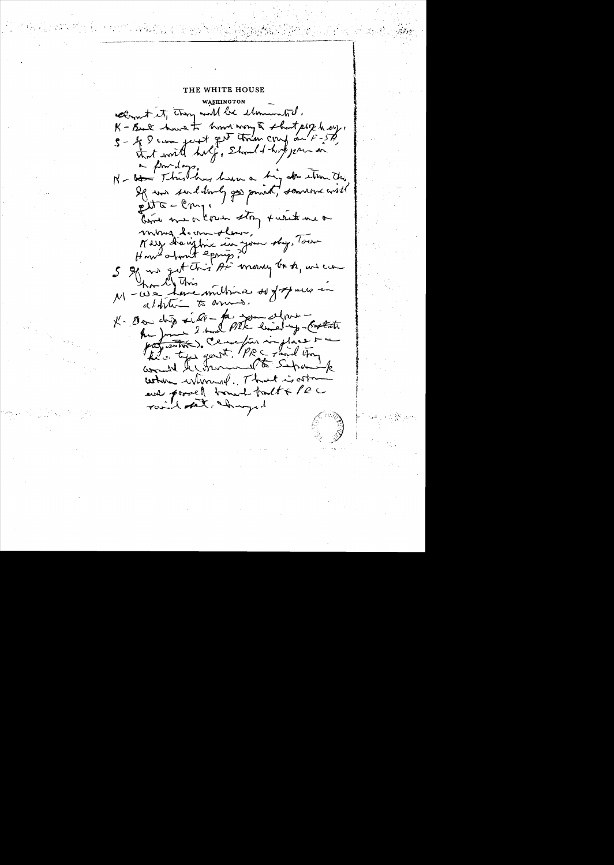THE WHITE HOUSE

WASHINGTON cleanet it, they will be elemented. K-But have to home way to shortplik have. 5 - 4 8 can just get tran coup on F-57. that would half, Should hoppen on a foundary. N - the Third hay him a hig attention this If was send lowly gos small, sommer will  $ext{G}-\ell_{n-1}$ bird me a know stry turn me or mong leur slav, Kerry draighte in Jour 169, Tour ham l' This M-We have milline sof of mus in alfram to anno. K- Oeu chip ville-faisonnelleur -<br>hui June 2 mil PIEK-lined-y-Ortati profunction). Cemefin in place t would lesterment to Supremik when when of That is afor and porcel bonnet tract & PRC Touch that Innyed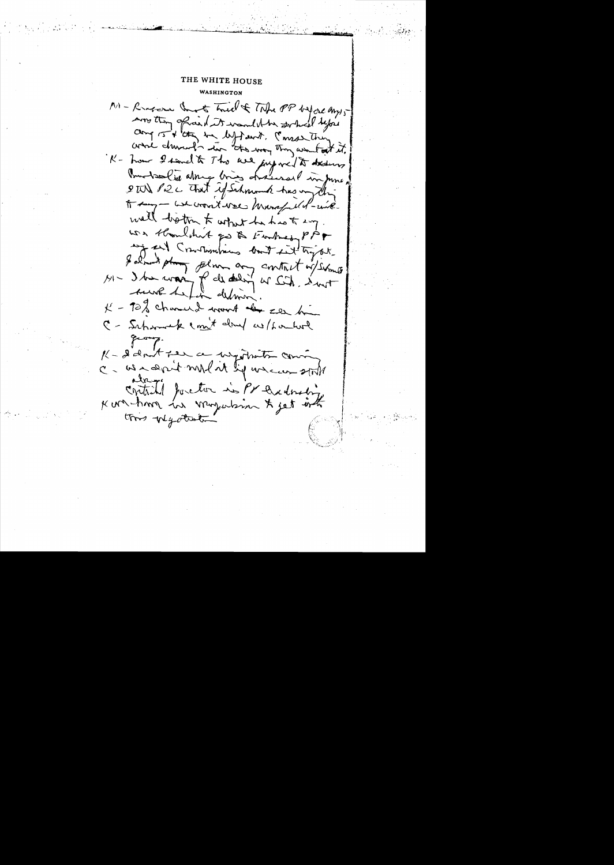MI - Revocace that's Tried & The PP before any 5 more than of said it want the gerbed lefois camp 15 + they be left out. Consortion while during in the way they wanted it. K- how I send to The we jugged to dedure Burtsolide along big hasses I informe STON P2C That if Schmout has my the A say - we won't well know full - wie. well both to what he has to say. was thought go & Forheast PPF any and Constantines bout int try are galant plus film any contract of some sure he fin definir K - 92% charant work of see him C - Suprement mit don't without K - I don't fee a wigotrate comm C- we san't mil it by uncon still contributé pourtou in Pr Didonding this wycliste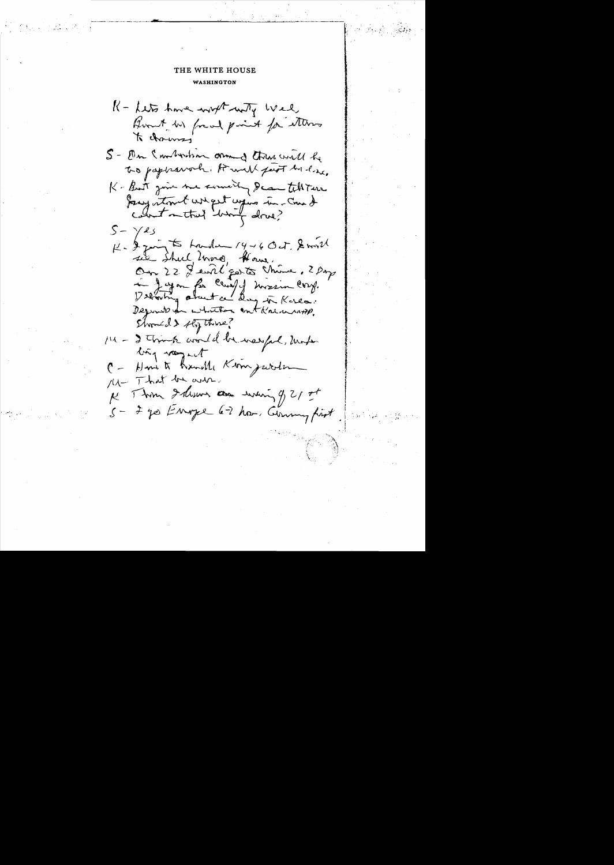K - Lets Ame with with wel Boat in food point for items to chairmy S - De Smilverham ormand there will be to paperswork. It will feet be line. K-But give me somethy Dean tilt are Jacqueton & wheel upins in-Come &  $S - \gamma$ es<br> $\mu - \frac{1}{2}$  from the houndam  $19 - 6$  Oct. Servill sie Street 2000, Hours, 1 Jugan for Chief of Novemberg.<br>1) working about a day in Korea. Deposite for whather contain united Should s they thing? 111 - I Think would be waspel, Unfor ling way aut C - Home to handle Kom juriter 14 That be over. He This I dism are when y 21 ot 5- 2 je Enope 6-2 hor. Commy first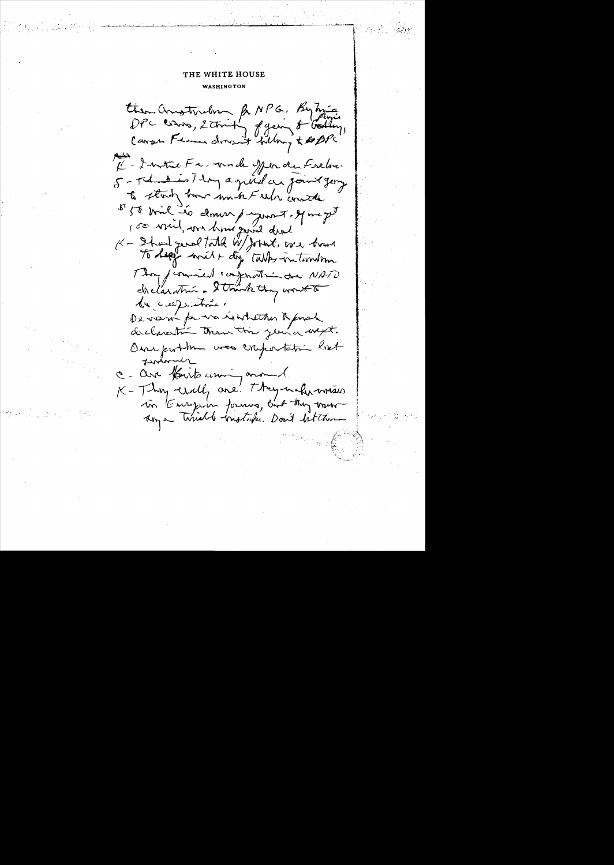then anotherly & NPG, Bytwie Il - Institute Fa, mode offer du Frelin. 5 - The distinct day agril and found george to start how much tribe worth 5 50 mil 20 donner payment. If mapt  $K - 2$  had good total W/Johnt, we have To happy with any takes internation They formued composition are NATO chelaratin - Strankthy worth de celles times Devain for wa reachether & post declaration than this year a wept. Our portme was cropertating list tender c. are fourts uning around K-Thy will are they not write in Europe's formus, and they want Any a Timeble tradition. Don't let them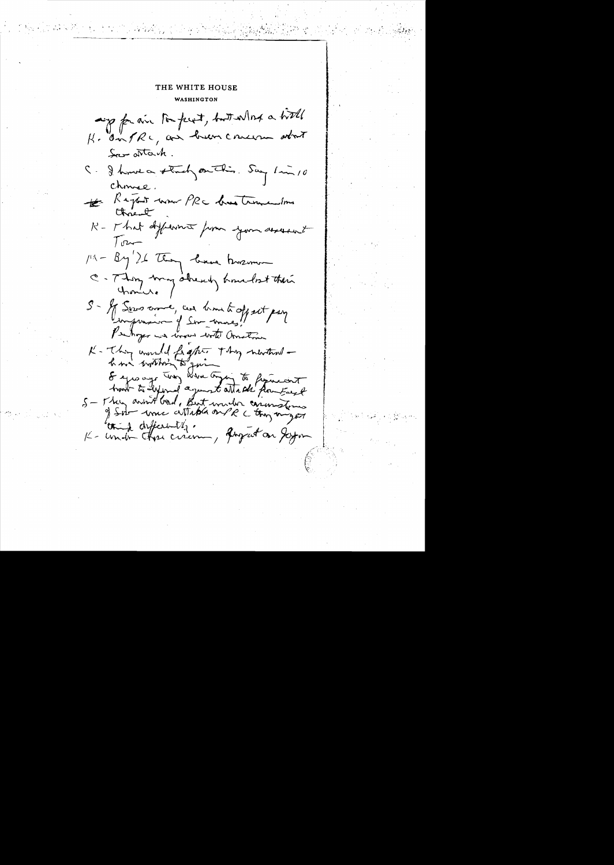appear to pert, but what a hitle K. On PRC, and hear concern about Secondor tach C. J. house a stocky on This. Say 1 min 10 Chruse. Report nous PRC demotrementous K - That different from your assessed  $T_{\text{max}}$  $\mu = \frac{By'}{24}$  They because there we C-Thom may abrevely knubst their S - If Servo crowe, can him to oppet pay K- Thing would fight. They newthered how within & spearef try When typy to figureast hand to lying agent attack from East S - They avin't band, But would carinations think differently. August on Jeyon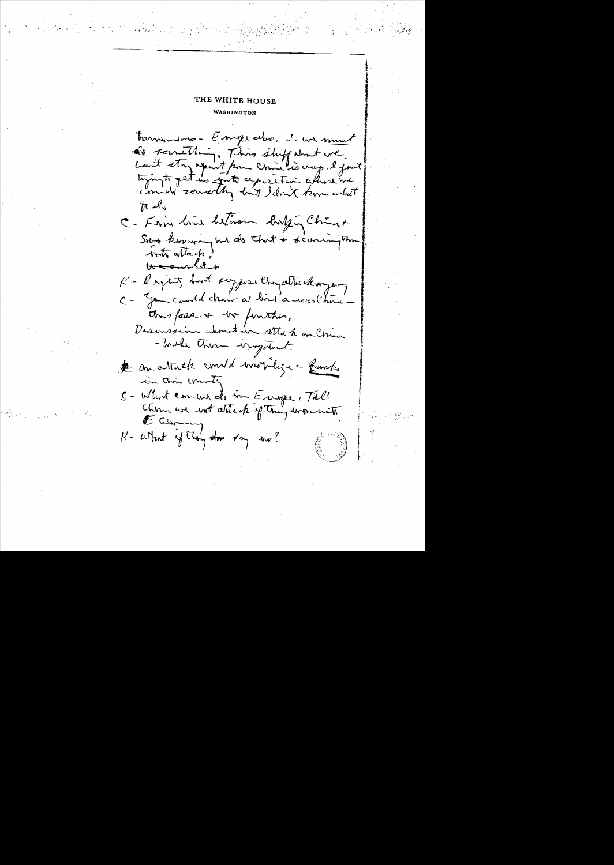tournous- Empedos, i we must de something. This stuff about we Lant ston apant pour china es creep, le joit tiging to get in write cep exiter where in  $\hbar \mathcal{A}_{\lambda}$ C- Fine time believe lingen China Sies kinewing had do that + scores the write article We cashel + K - Raytest, but sypose they atter kangery C - you could chair a bird acrees (hime this form + we funther. Descussion advantain alta h an Chron - Toucher therm ingetout de un attack constit mondige - Kursks in this unsity S-Whirt comment als in Europe, Till E Cu N-what if they do they we?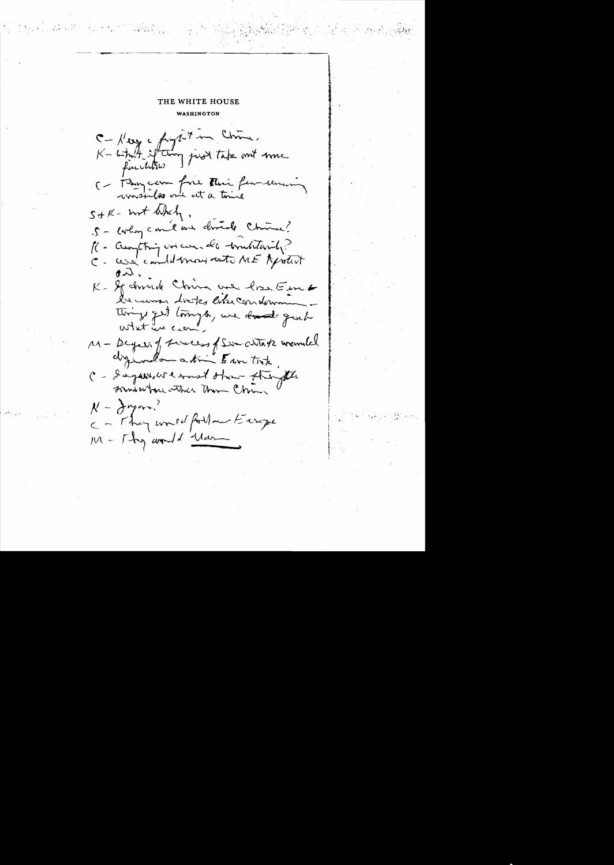C-Hey a forget in China. whit if they just take out me  $K - L + \frac{1}{2}$ (- Janviern fire Their few-serience)  $s_{t}k$ -  $w_{t}$  when. 5 - corlog can't and dried China? 16 - Curanthing un casa de traditarily? C - cere condit more with ME Aprotivity K- Sp donnelle China une bra Em the was looks like condown tings get longto, we dond grad what are M- Beyong Finecess of Sim With the mounted different atime Esse took C - d'agains et most otron strongthe Frank where withich Them China  $k - \frac{\lambda}{2}$ meron, c - They would forthour Europe M - Thy world Man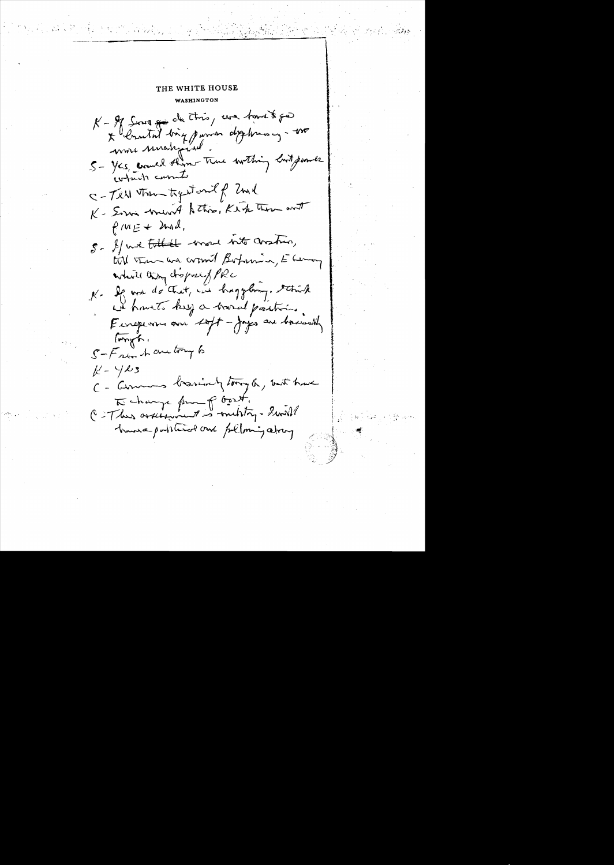$\label{eq:2.1} \frac{1}{2}\sum_{i=1}^n\frac{1}{2}\left(\frac{1}{2}\sum_{i=1}^n\frac{1}{2}\left(\frac{1}{2}\sum_{i=1}^n\frac{1}{2}\right)\right)^2+\frac{1}{2}\sum_{i=1}^n\frac{1}{2}\left(\frac{1}{2}\sum_{i=1}^n\frac{1}{2}\right)^2.$ 

K- If four good this, we have to \* Concetat big parron deptermacy - 100 5 - Yes, comed them true worthing look power contacts curate C-Tell town toget out of 2ml K- Somi wound to this, Ke to those and  $f$   $mE + 2nd$ . S- If we talked more not anstron, till tem un comit Bohamin, E Lemon while they disposed force K. If we do that, in happling. strick we have to keep a brasid partir. Forgo: S-From A are try to  $k - y \& 3$ C - Comments brassing tong a, but have To change from p Ocet.<br>C-Thus orderwant is multig. Swill transapotition our polloning about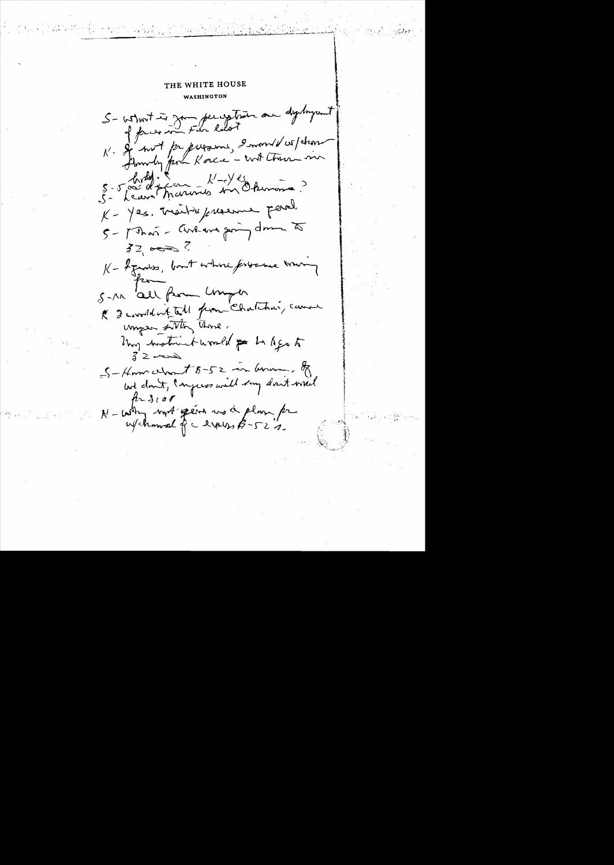S- whort is you perception on dystryant of forces in Fin Rilot K- Sy not papierons, 2 mont 1 espèrant 5-5 freum Frances en Okumin ?  $K-12s.$  Trait-infraeme perol.  $5 - 1$  That - Avenue going down to  $32,0002$ K - I gentless, bout where fortene war S-M 'all form Umper & I consider that prom- Chatcher, can unger sitting these. Uni instruct would go to Age to  $32 - 2$  $S-$ Homewort  $s$ -52 in Gram, of but don't, Ingress will say don't would  $f_1 + 3100$ N-with work gens us a plum for w/channel of a livers \$-52".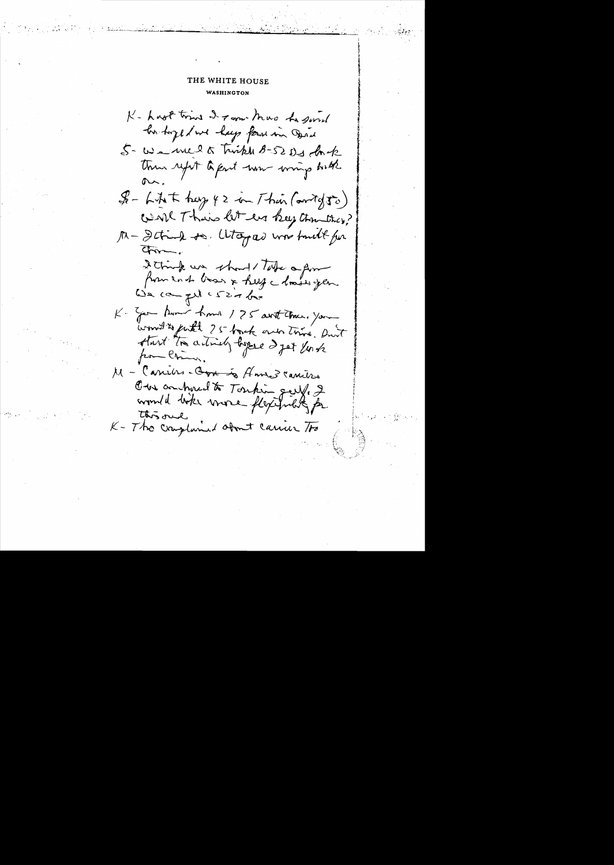K- Last tring I ram have to good his hope of we hap form in Open 5- We welk Twike 8-52 Ds fork Then refet a part now writing with  $$ - LAt = \frac{1}{2}$  f 2 on Their (antig  $50$ ) went Their let en key than they? M-Detrick to. Whopas was truth for  $C_{\text{IV}}$ 2 think we should Take a form from end boar & help a loader gen. We can get cs20 be K- Zen Aumer homes 175 avit theme, you would to full 25 back one trive, and start to actively began a get link from China, M - Canibes - Orx is Home I cancers Our antered to Toutin gery. 2 this one K- The cray land about carrier To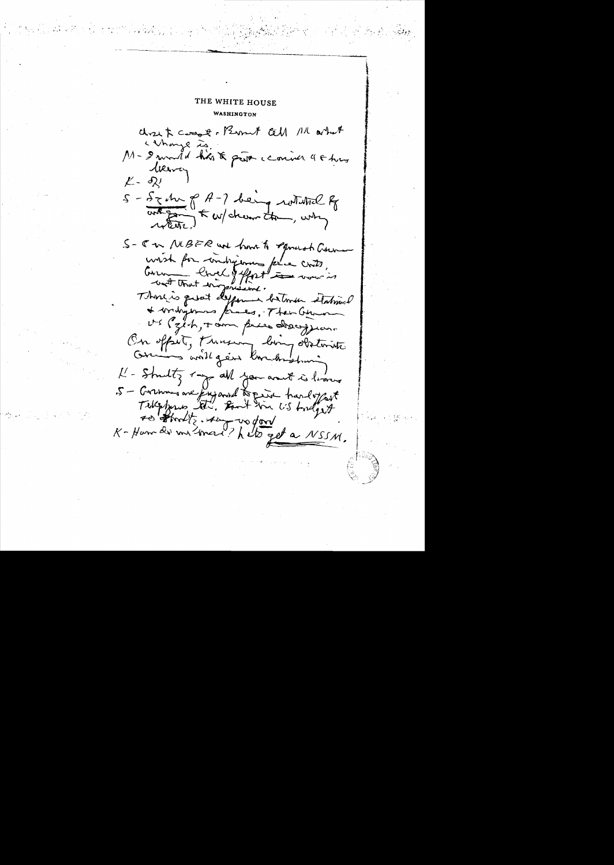chose & cross of Brownt tell 11 artist Whays is. M- I would has to get conner 4 & hus terva  $\mathcal{L}$  -  $\delta \mathcal{L}$ 5 - Sz M p A-7 being rotatel of S- J n MBFR und have to Equality Coun consiste pour conchagement pour conts, Thora is quat defferment between stational \* bridgement kines, Their German US (zich, + am price description On offset, Freuen, long obstants Grains will gen Konchristian K - Strutty my all you aren't is looned 5 - Grennis are jugared to pain transloggest to that is the word of the 155M.